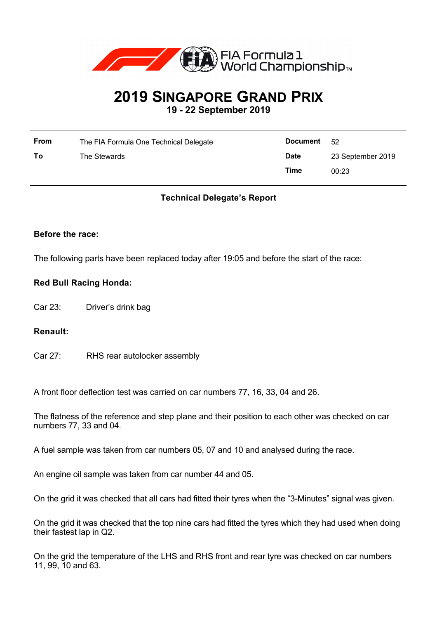

# **2019 SINGAPORE GRAND PRIX 19 - 22 September 2019**

| <b>From</b> | The FIA Formula One Technical Delegate | <b>Document</b> | - 52              |
|-------------|----------------------------------------|-----------------|-------------------|
| To          | The Stewards                           | <b>Date</b>     | 23 September 2019 |
|             |                                        | Time            | 00:23             |

# **Technical Delegate's Report**

#### **Before the race:**

The following parts have been replaced today after 19:05 and before the start of the race:

## **Red Bull Racing Honda:**

Car 23: Driver's drink bag

#### **Renault:**

Car 27: RHS rear autolocker assembly

A front floor deflection test was carried on car numbers 77, 16, 33, 04 and 26.

The flatness of the reference and step plane and their position to each other was checked on car numbers 77, 33 and 04.

A fuel sample was taken from car numbers 05, 07 and 10 and analysed during the race.

An engine oil sample was taken from car number 44 and 05.

On the grid it was checked that all cars had fitted their tyres when the "3-Minutes" signal was given.

On the grid it was checked that the top nine cars had fitted the tyres which they had used when doing their fastest lap in Q2.

On the grid the temperature of the LHS and RHS front and rear tyre was checked on car numbers 11, 99, 10 and 63.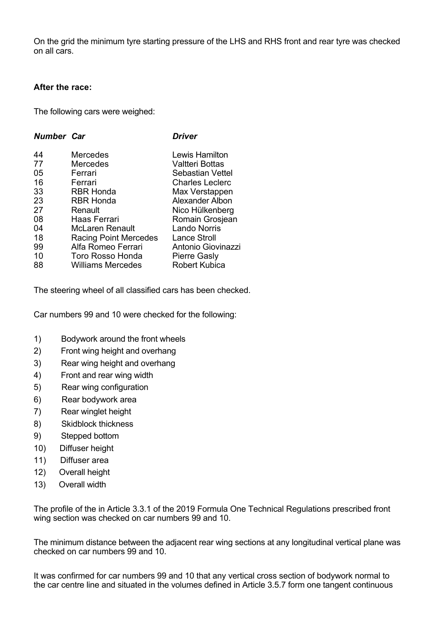On the grid the minimum tyre starting pressure of the LHS and RHS front and rear tyre was checked on all cars.

#### **After the race:**

The following cars were weighed:

| <b>Driver</b>          |
|------------------------|
| Lewis Hamilton         |
| Valtteri Bottas        |
| Sebastian Vettel       |
| <b>Charles Leclerc</b> |
| Max Verstappen         |
| Alexander Albon        |
| Nico Hülkenberg        |
| Romain Grosjean        |
| <b>Lando Norris</b>    |
| <b>Lance Stroll</b>    |
| Antonio Giovinazzi     |
| <b>Pierre Gasly</b>    |
| <b>Robert Kubica</b>   |
|                        |

The steering wheel of all classified cars has been checked.

Car numbers 99 and 10 were checked for the following:

- 1) Bodywork around the front wheels
- 2) Front wing height and overhang
- 3) Rear wing height and overhang
- 4) Front and rear wing width
- 5) Rear wing configuration
- 6) Rear bodywork area
- 7) Rear winglet height
- 8) Skidblock thickness
- 9) Stepped bottom
- 10) Diffuser height
- 11) Diffuser area
- 12) Overall height
- 13) Overall width

The profile of the in Article 3.3.1 of the 2019 Formula One Technical Regulations prescribed front wing section was checked on car numbers 99 and 10.

The minimum distance between the adjacent rear wing sections at any longitudinal vertical plane was checked on car numbers 99 and 10.

It was confirmed for car numbers 99 and 10 that any vertical cross section of bodywork normal to the car centre line and situated in the volumes defined in Article 3.5.7 form one tangent continuous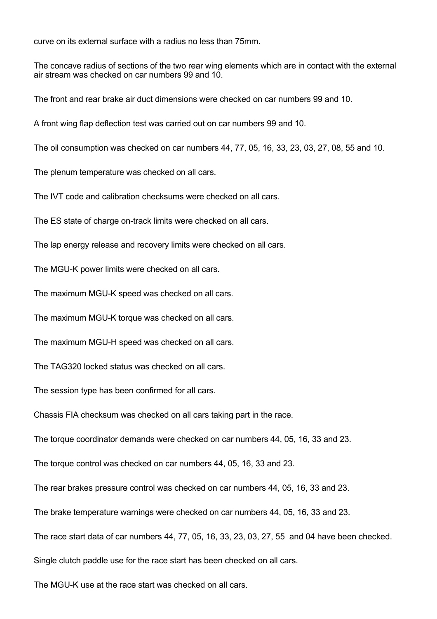curve on its external surface with a radius no less than 75mm.

The concave radius of sections of the two rear wing elements which are in contact with the external air stream was checked on car numbers 99 and 10.

The front and rear brake air duct dimensions were checked on car numbers 99 and 10.

A front wing flap deflection test was carried out on car numbers 99 and 10.

The oil consumption was checked on car numbers 44, 77, 05, 16, 33, 23, 03, 27, 08, 55 and 10.

The plenum temperature was checked on all cars.

The IVT code and calibration checksums were checked on all cars.

The ES state of charge on-track limits were checked on all cars.

The lap energy release and recovery limits were checked on all cars.

The MGU-K power limits were checked on all cars.

The maximum MGU-K speed was checked on all cars.

The maximum MGU-K torque was checked on all cars.

The maximum MGU-H speed was checked on all cars.

The TAG320 locked status was checked on all cars.

The session type has been confirmed for all cars.

Chassis FIA checksum was checked on all cars taking part in the race.

The torque coordinator demands were checked on car numbers 44, 05, 16, 33 and 23.

The torque control was checked on car numbers 44, 05, 16, 33 and 23.

The rear brakes pressure control was checked on car numbers 44, 05, 16, 33 and 23.

The brake temperature warnings were checked on car numbers 44, 05, 16, 33 and 23.

The race start data of car numbers 44, 77, 05, 16, 33, 23, 03, 27, 55 and 04 have been checked.

Single clutch paddle use for the race start has been checked on all cars.

The MGU-K use at the race start was checked on all cars.